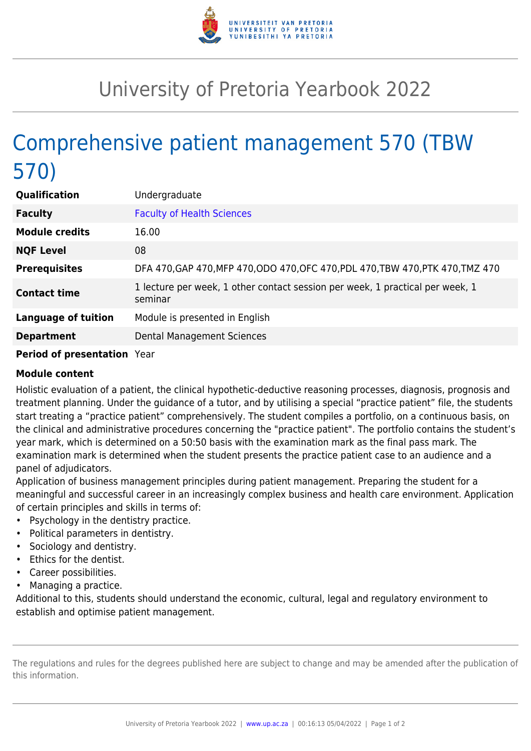

## University of Pretoria Yearbook 2022

## Comprehensive patient management 570 (TBW 570)

| <b>Qualification</b>       | Undergraduate                                                                            |
|----------------------------|------------------------------------------------------------------------------------------|
| <b>Faculty</b>             | <b>Faculty of Health Sciences</b>                                                        |
| <b>Module credits</b>      | 16.00                                                                                    |
| <b>NQF Level</b>           | 08                                                                                       |
| <b>Prerequisites</b>       | DFA 470, GAP 470, MFP 470, ODO 470, OFC 470, PDL 470, TBW 470, PTK 470, TMZ 470          |
| <b>Contact time</b>        | 1 lecture per week, 1 other contact session per week, 1 practical per week, 1<br>seminar |
| <b>Language of tuition</b> | Module is presented in English                                                           |
| <b>Department</b>          | Dental Management Sciences                                                               |
|                            |                                                                                          |

## **Period of presentation** Year

## **Module content**

Holistic evaluation of a patient, the clinical hypothetic-deductive reasoning processes, diagnosis, prognosis and treatment planning. Under the guidance of a tutor, and by utilising a special "practice patient" file, the students start treating a "practice patient" comprehensively. The student compiles a portfolio, on a continuous basis, on the clinical and administrative procedures concerning the "practice patient". The portfolio contains the student's year mark, which is determined on a 50:50 basis with the examination mark as the final pass mark. The examination mark is determined when the student presents the practice patient case to an audience and a panel of adjudicators.

Application of business management principles during patient management. Preparing the student for a meaningful and successful career in an increasingly complex business and health care environment. Application of certain principles and skills in terms of:

- Psychology in the dentistry practice.
- Political parameters in dentistry.
- Sociology and dentistry.
- Ethics for the dentist.
- Career possibilities.
- Managing a practice.

Additional to this, students should understand the economic, cultural, legal and regulatory environment to establish and optimise patient management.

The regulations and rules for the degrees published here are subject to change and may be amended after the publication of this information.